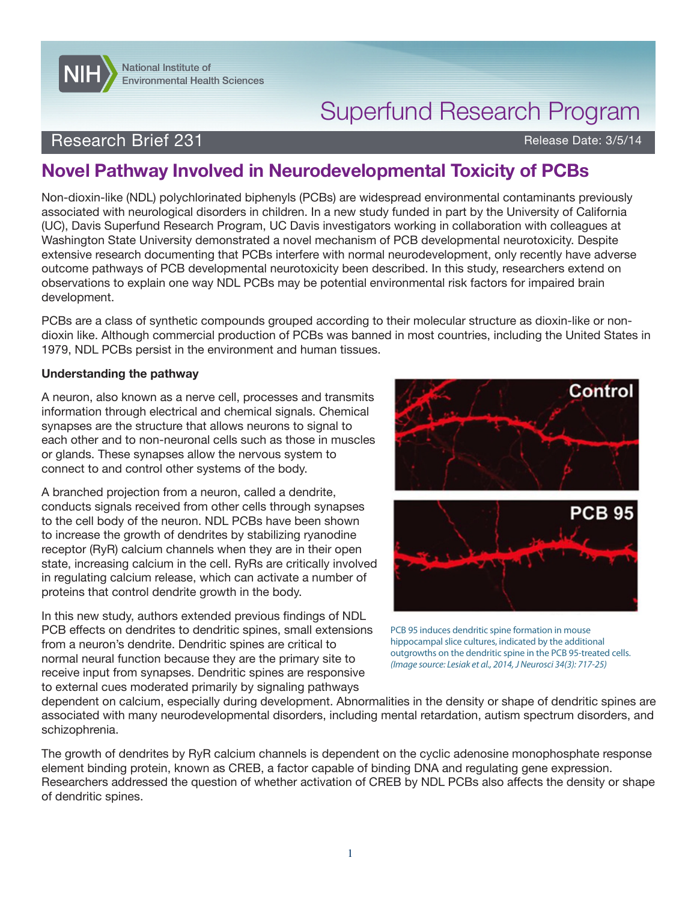

# Superfund Research Program

### Research Brief 231 **Research Brief 231** Release Date: 3/5/14

## **Novel Pathway Involved in Neurodevelopmental Toxicity of PCBs**

Non-dioxin-like (NDL) polychlorinated biphenyls (PCBs) are widespread environmental contaminants previously associated with neurological disorders in children. In a new study funded in part by the University of California (UC), Davis Superfund Research Program, UC Davis investigators working in collaboration with colleagues at Washington State University demonstrated a novel mechanism of PCB developmental neurotoxicity. Despite extensive research documenting that PCBs interfere with normal neurodevelopment, only recently have adverse outcome pathways of PCB developmental neurotoxicity been described. In this study, researchers extend on observations to explain one way NDL PCBs may be potential environmental risk factors for impaired brain development.

PCBs are a class of synthetic compounds grouped according to their molecular structure as dioxin-like or nondioxin like. Although commercial production of PCBs was banned in most countries, including the United States in 1979, NDL PCBs persist in the environment and human tissues.

#### **Understanding the pathway**

A neuron, also known as a nerve cell, processes and transmits information through electrical and chemical signals. Chemical synapses are the structure that allows neurons to signal to each other and to non-neuronal cells such as those in muscles or glands. These synapses allow the nervous system to connect to and control other systems of the body.

A branched projection from a neuron, called a dendrite, conducts signals received from other cells through synapses to the cell body of the neuron. NDL PCBs have been shown to increase the growth of dendrites by stabilizing ryanodine receptor (RyR) calcium channels when they are in their open state, increasing calcium in the cell. RyRs are critically involved in regulating calcium release, which can activate a number of proteins that control dendrite growth in the body.

In this new study, authors extended previous findings of NDL PCB effects on dendrites to dendritic spines, small extensions from a neuron's dendrite. Dendritic spines are critical to normal neural function because they are the primary site to receive input from synapses. Dendritic spines are responsive to external cues moderated primarily by signaling pathways





PCB 95 induces dendritic spine formation in mouse hippocampal slice cultures, indicated by the additional outgrowths on the dendritic spine in the PCB 95-treated cells. *(Image source: Lesiak et al., 2014, J Neurosci 34(3): 717-25)*

dependent on calcium, especially during development. Abnormalities in the density or shape of dendritic spines are associated with many neurodevelopmental disorders, including mental retardation, autism spectrum disorders, and schizophrenia.

The growth of dendrites by RyR calcium channels is dependent on the cyclic adenosine monophosphate response element binding protein, known as CREB, a factor capable of binding DNA and regulating gene expression. Researchers addressed the question of whether activation of CREB by NDL PCBs also affects the density or shape of dendritic spines.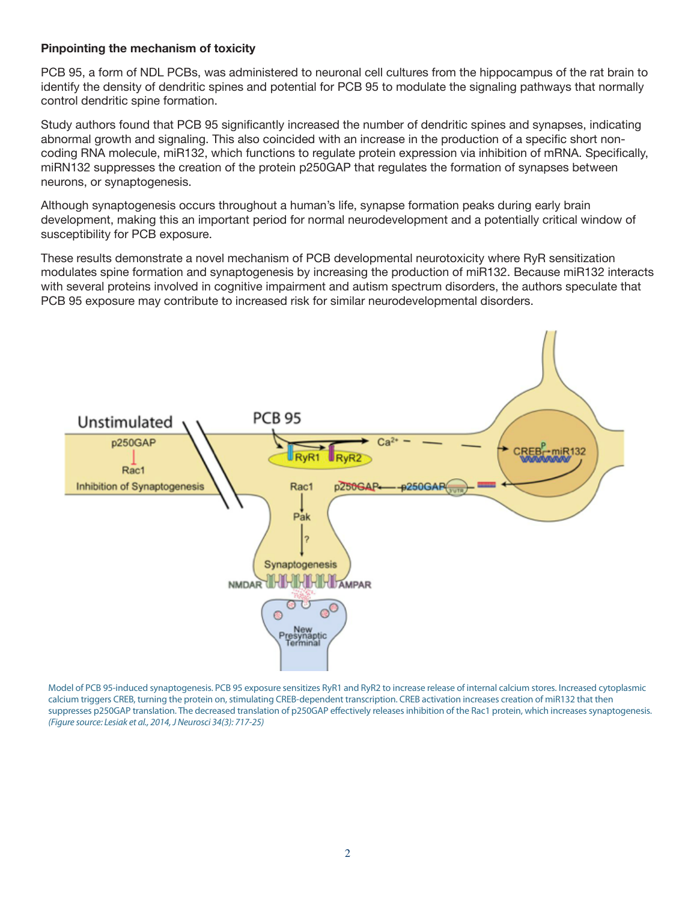#### **Pinpointing the mechanism of toxicity**

PCB 95, a form of NDL PCBs, was administered to neuronal cell cultures from the hippocampus of the rat brain to identify the density of dendritic spines and potential for PCB 95 to modulate the signaling pathways that normally control dendritic spine formation.

Study authors found that PCB 95 significantly increased the number of dendritic spines and synapses, indicating abnormal growth and signaling. This also coincided with an increase in the production of a specific short noncoding RNA molecule, miR132, which functions to regulate protein expression via inhibition of mRNA. Specifically, miRN132 suppresses the creation of the protein p250GAP that regulates the formation of synapses between neurons, or synaptogenesis.

Although synaptogenesis occurs throughout a human's life, synapse formation peaks during early brain development, making this an important period for normal neurodevelopment and a potentially critical window of susceptibility for PCB exposure.

These results demonstrate a novel mechanism of PCB developmental neurotoxicity where RyR sensitization modulates spine formation and synaptogenesis by increasing the production of miR132. Because miR132 interacts with several proteins involved in cognitive impairment and autism spectrum disorders, the authors speculate that PCB 95 exposure may contribute to increased risk for similar neurodevelopmental disorders.



Model of PCB 95-induced synaptogenesis. PCB 95 exposure sensitizes RyR1 and RyR2 to increase release of internal calcium stores. Increased cytoplasmic calcium triggers CREB, turning the protein on, stimulating CREB-dependent transcription. CREB activation increases creation of miR132 that then suppresses p250GAP translation. The decreased translation of p250GAP effectively releases inhibition of the Rac1 protein, which increases synaptogenesis. *(Figure source: Lesiak et al., 2014, J Neurosci 34(3): 717-25)*